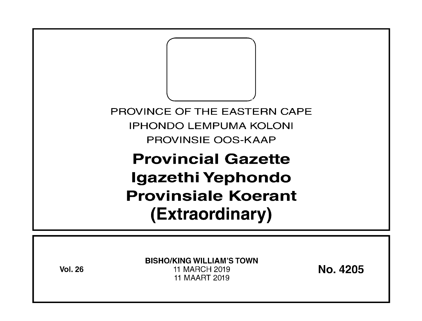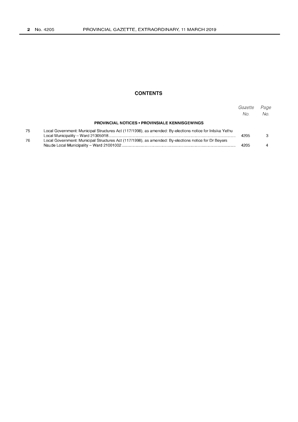## **CONTENTS**

|    |                                                                                                          | Gazette<br>No. | Page<br>No. |
|----|----------------------------------------------------------------------------------------------------------|----------------|-------------|
|    | <b>PROVINCIAL NOTICES • PROVINSIALE KENNISGEWINGS</b>                                                    |                |             |
| 75 | Local Government: Municipal Structures Act (117/1998), as amended: By-elections notice for Intsika Yethu | 4205           |             |
| 76 | Local Government: Municipal Structures Act (117/1998), as amended: By-elections notice for Dr Beyers     | 4205           |             |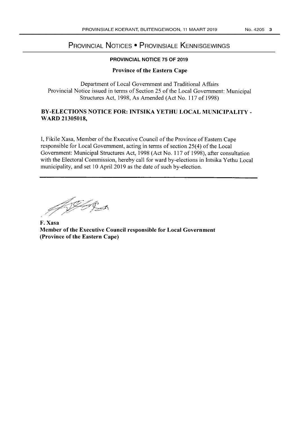# **PROVINCIAL NOTICES • PROVINSIALE KENNISGEWINGS**

## **PROVINCIAL NOTICE 75 OF 2019**

### **Province of the Eastern Cape**

Department of Local Government and Traditional Affairs Provincial Notice issued in terms of Section 25 of the Local Government: Municipal Structures Act, 1998, As Amended (Act No. 117 of 1998)

## **BY-ELECTIONS NOTICE FOR: INTSIKA YETHU LOCAL MUNICIPALITY - WARD 21305018,**

I, Fikile Xasa, Member of the Executive Council of the Province of Eastern Cape responsible for Local Government, acting in tenns of section 25(4) of the Local Government: Municipal Structures Act, 1998 (Act No. 117 of 1998), after consultation with the Electoral Commission, hereby call for ward by-elections in Intsika Yethu Local municipality, and set 10 April 2019 as the date of such by-election.

HIST

**F. Xasa Member of the Executive Council responsible for Local Government (Province** of the **Eastern Cape)**